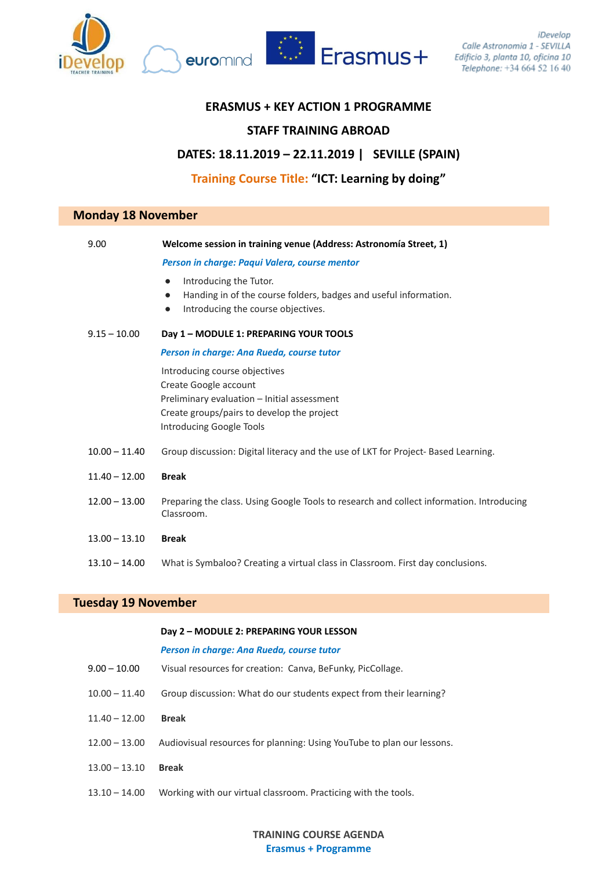





## **ERASMUS + KEY ACTION 1 PROGRAMME**

# **STAFF TRAINING ABROAD**

## **DATES: 18.11.2019 – 22.11.2019 | SEVILLE (SPAIN)**

# **Training Course Title: "ICT: Learning by doing"**

## **Monday 18 November**

| 9.00            | Welcome session in training venue (Address: Astronomía Street, 1)                                                                                                               |
|-----------------|---------------------------------------------------------------------------------------------------------------------------------------------------------------------------------|
|                 | Person in charge: Paqui Valera, course mentor                                                                                                                                   |
|                 | Introducing the Tutor.<br>$\bullet$<br>Handing in of the course folders, badges and useful information.<br>$\bullet$<br>Introducing the course objectives.<br>$\bullet$         |
| $9.15 - 10.00$  | Day 1 - MODULE 1: PREPARING YOUR TOOLS                                                                                                                                          |
|                 | Person in charge: Ana Rueda, course tutor                                                                                                                                       |
|                 | Introducing course objectives<br>Create Google account<br>Preliminary evaluation - Initial assessment<br>Create groups/pairs to develop the project<br>Introducing Google Tools |
| $10.00 - 11.40$ | Group discussion: Digital literacy and the use of LKT for Project- Based Learning.                                                                                              |
| $11.40 - 12.00$ | <b>Break</b>                                                                                                                                                                    |
| $12.00 - 13.00$ | Preparing the class. Using Google Tools to research and collect information. Introducing<br>Classroom.                                                                          |
| $13.00 - 13.10$ | <b>Break</b>                                                                                                                                                                    |
| $13.10 - 14.00$ | What is Symbaloo? Creating a virtual class in Classroom. First day conclusions.                                                                                                 |
|                 |                                                                                                                                                                                 |

# **Tuesday 19 November**

### **Day 2 – MODULE 2: PREPARING YOUR LESSON**

#### *Person in charge: Ana Rueda, course tutor*

| $9.00 - 10.00$  | Visual resources for creation: Canva, BeFunky, PicCollage.             |
|-----------------|------------------------------------------------------------------------|
| $10.00 - 11.40$ | Group discussion: What do our students expect from their learning?     |
| $11.40 - 12.00$ | <b>Break</b>                                                           |
| $12.00 - 13.00$ | Audiovisual resources for planning: Using YouTube to plan our lessons. |
| $13.00 - 13.10$ | <b>Break</b>                                                           |
| $13.10 - 14.00$ | Working with our virtual classroom. Practicing with the tools.         |

## **TRAINING COURSE AGENDA Erasmus + Programme**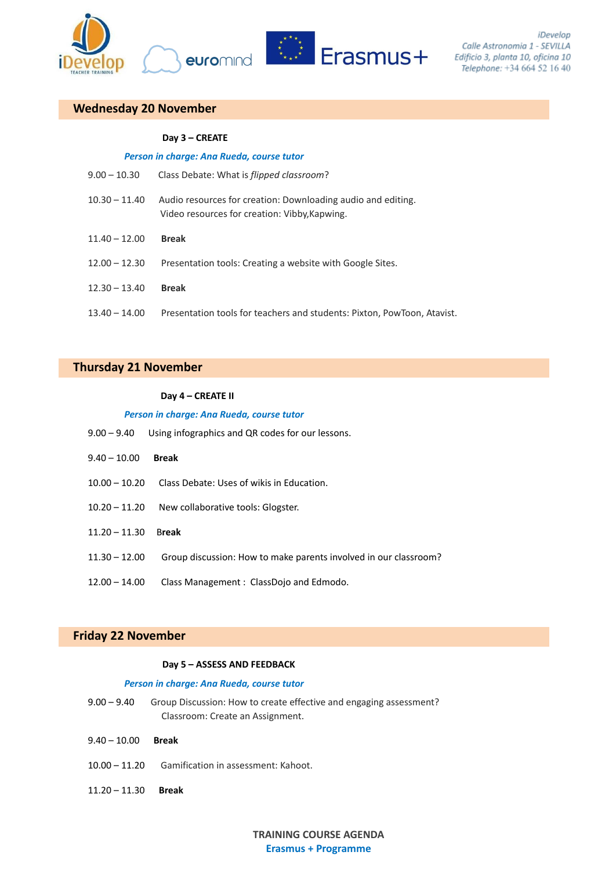



# **Wednesday 20 November**

### **Day 3 – CREATE**

| Person in charge: Ana Rueda, course tutor |                                                                                                               |  |
|-------------------------------------------|---------------------------------------------------------------------------------------------------------------|--|
| $9.00 - 10.30$                            | Class Debate: What is <i>flipped classroom</i> ?                                                              |  |
| $10.30 - 11.40$                           | Audio resources for creation: Downloading audio and editing.<br>Video resources for creation: Vibby, Kapwing. |  |
| $11.40 - 12.00$                           | <b>Break</b>                                                                                                  |  |
| $12.00 - 12.30$                           | Presentation tools: Creating a website with Google Sites.                                                     |  |
| $12.30 - 13.40$                           | <b>Break</b>                                                                                                  |  |
| $13.40 - 14.00$                           | Presentation tools for teachers and students: Pixton, PowToon, Atavist.                                       |  |

## **Thursday 21 November**

## **Day 4 – CREATE II**

### *Person in charge: Ana Rueda, course tutor*

| $9.00 - 9.40$   | Using infographics and QR codes for our lessons.                 |
|-----------------|------------------------------------------------------------------|
| $9.40 - 10.00$  | <b>Break</b>                                                     |
| $10.00 - 10.20$ | Class Debate: Uses of wikis in Education.                        |
| $10.20 - 11.20$ | New collaborative tools: Glogster.                               |
| $11.20 - 11.30$ | <b>Break</b>                                                     |
| $11.30 - 12.00$ | Group discussion: How to make parents involved in our classroom? |
| $12.00 - 14.00$ | Class Management: ClassDojo and Edmodo.                          |

# **Friday 22 November**

### **Day 5 – ASSESS AND FEEDBACK**

### *Person in charge: Ana Rueda, course tutor*

- 9.00 9.40 Group Discussion: How to create effective and engaging assessment? Classroom: Create an Assignment.
- 9.40 10.00 **Break**
- 10.00 11.20 Gamification in assessment: Kahoot.
- 11.20 11.30 **Break**

## **TRAINING COURSE AGENDA Erasmus + Programme**